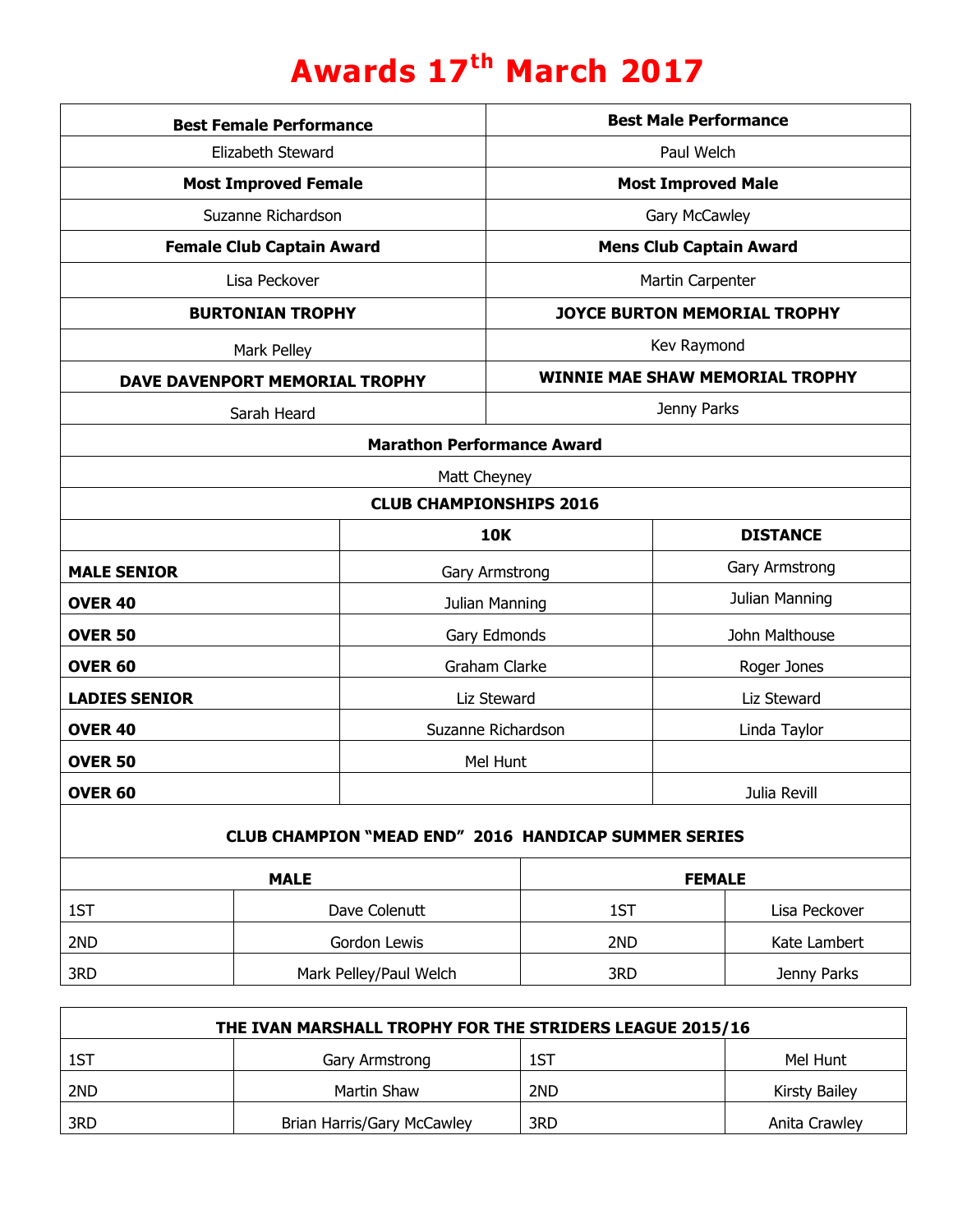## **Awards 17th March 2017**

| <b>Best Female Performance</b>                              |                                  |                                | <b>Best Male Performance</b>           |               |                 |                |
|-------------------------------------------------------------|----------------------------------|--------------------------------|----------------------------------------|---------------|-----------------|----------------|
| Elizabeth Steward                                           |                                  |                                | Paul Welch                             |               |                 |                |
|                                                             | <b>Most Improved Female</b>      |                                | <b>Most Improved Male</b>              |               |                 |                |
|                                                             | Suzanne Richardson               |                                | Gary McCawley                          |               |                 |                |
|                                                             | <b>Female Club Captain Award</b> |                                | <b>Mens Club Captain Award</b>         |               |                 |                |
| Lisa Peckover                                               |                                  |                                | Martin Carpenter                       |               |                 |                |
| <b>BURTONIAN TROPHY</b>                                     |                                  |                                | <b>JOYCE BURTON MEMORIAL TROPHY</b>    |               |                 |                |
| Mark Pelley                                                 |                                  |                                | Kev Raymond                            |               |                 |                |
| DAVE DAVENPORT MEMORIAL TROPHY                              |                                  |                                | <b>WINNIE MAE SHAW MEMORIAL TROPHY</b> |               |                 |                |
| Sarah Heard                                                 |                                  | Jenny Parks                    |                                        |               |                 |                |
| <b>Marathon Performance Award</b>                           |                                  |                                |                                        |               |                 |                |
|                                                             |                                  | Matt Cheyney                   |                                        |               |                 |                |
|                                                             |                                  | <b>CLUB CHAMPIONSHIPS 2016</b> |                                        |               |                 |                |
|                                                             |                                  | <b>10K</b>                     |                                        |               | <b>DISTANCE</b> |                |
| <b>MALE SENIOR</b>                                          |                                  | Gary Armstrong                 |                                        |               |                 | Gary Armstrong |
| <b>OVER 40</b>                                              |                                  | Julian Manning                 |                                        |               |                 | Julian Manning |
| <b>OVER 50</b>                                              |                                  |                                | Gary Edmonds                           |               | John Malthouse  |                |
| <b>OVER 60</b>                                              |                                  | Graham Clarke                  |                                        | Roger Jones   |                 |                |
| <b>LADIES SENIOR</b>                                        |                                  | Liz Steward                    |                                        | Liz Steward   |                 |                |
| <b>OVER 40</b>                                              |                                  | Suzanne Richardson             |                                        |               | Linda Taylor    |                |
| <b>OVER 50</b>                                              |                                  | Mel Hunt                       |                                        |               |                 |                |
| OVER <sub>60</sub>                                          |                                  |                                |                                        | Julia Revill  |                 |                |
| <b>CLUB CHAMPION "MEAD END" 2016 HANDICAP SUMMER SERIES</b> |                                  |                                |                                        |               |                 |                |
| <b>MALE</b>                                                 |                                  |                                |                                        | <b>FEMALE</b> |                 |                |
| 1ST                                                         | Dave Colenutt                    |                                |                                        | 1ST           |                 | Lisa Peckover  |
| 2ND                                                         |                                  | Gordon Lewis                   |                                        | 2ND           |                 | Kate Lambert   |
| 3RD                                                         |                                  | Mark Pelley/Paul Welch         |                                        | 3RD           |                 | Jenny Parks    |

| THE IVAN MARSHALL TROPHY FOR THE STRIDERS LEAGUE 2015/16 |                            |     |                      |  |  |  |
|----------------------------------------------------------|----------------------------|-----|----------------------|--|--|--|
| 1ST                                                      | Gary Armstrong             | 1ST | Mel Hunt             |  |  |  |
| 2ND                                                      | Martin Shaw                | 2ND | <b>Kirsty Bailey</b> |  |  |  |
| 3RD                                                      | Brian Harris/Gary McCawley | 3RD | Anita Crawley        |  |  |  |